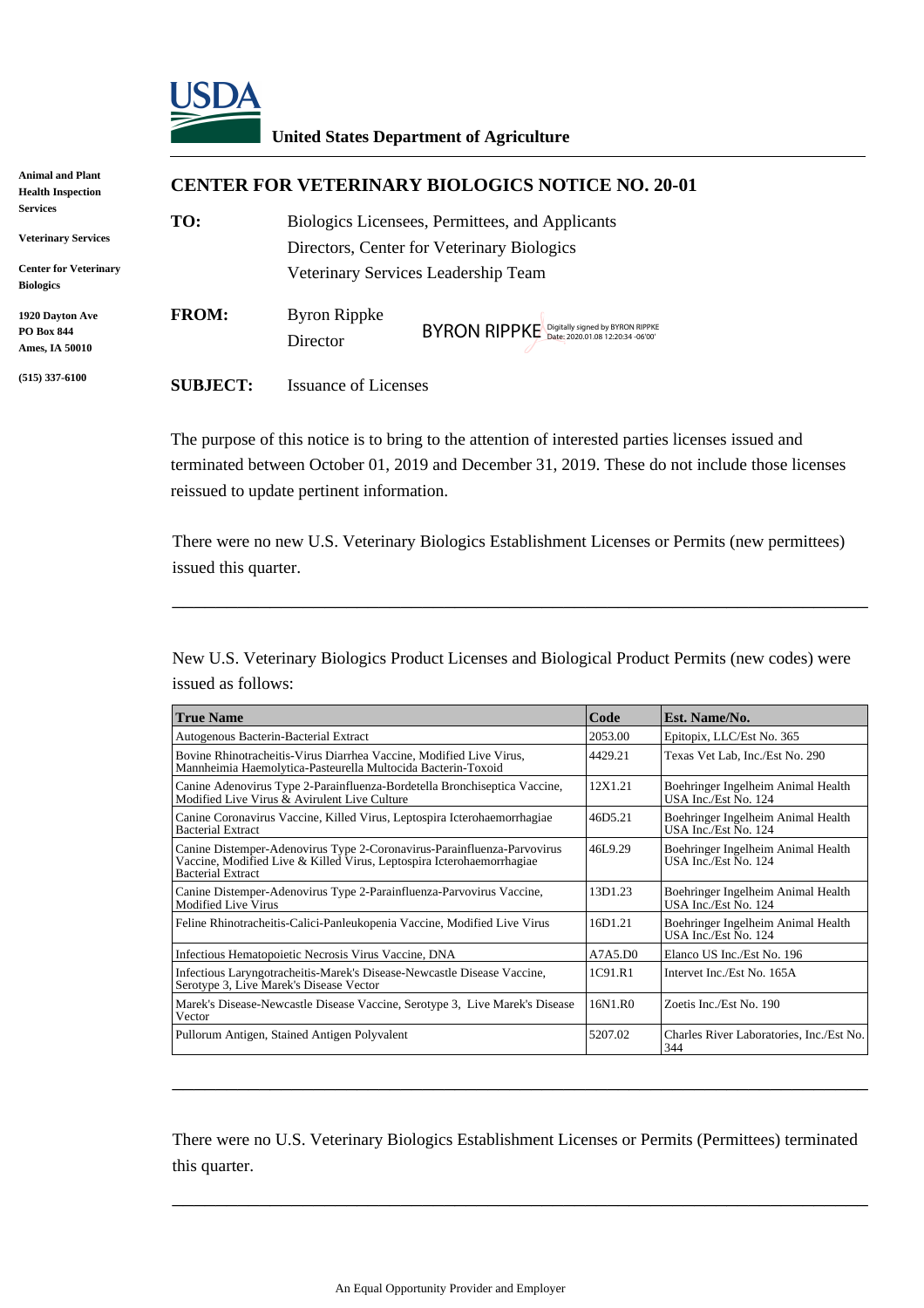

## **United States Department of Agriculture**

| Animal and Plant<br><b>Health Inspection</b>           |                 | <b>CENTER FOR VETERINARY BIOLOGICS NOTICE NO. 20-01</b>                                       |  |  |  |
|--------------------------------------------------------|-----------------|-----------------------------------------------------------------------------------------------|--|--|--|
| <b>Services</b><br><b>Veterinary Services</b>          | TO:             | Biologics Licensees, Permittees, and Applicants<br>Directors, Center for Veterinary Biologics |  |  |  |
| <b>Center for Veterinary</b><br><b>Biologics</b>       |                 | Veterinary Services Leadership Team                                                           |  |  |  |
| 1920 Davton Ave<br><b>PO Box 844</b><br>Ames, IA 50010 | <b>FROM:</b>    | Byron Rippke<br>BYRON RIPPKE Digitally signed by BYRON RIPPKE<br>Director                     |  |  |  |
| $(515)$ 337-6100                                       | <b>SUBJECT:</b> | <b>Issuance of Licenses</b>                                                                   |  |  |  |

|                                                                                                                                                                              | BYRON RIPPKE Digitally signed by BYRON RIPPKE<br>Director                                                                                                                                                                                        |         |                                                            |  |  |
|------------------------------------------------------------------------------------------------------------------------------------------------------------------------------|--------------------------------------------------------------------------------------------------------------------------------------------------------------------------------------------------------------------------------------------------|---------|------------------------------------------------------------|--|--|
| <b>SUBJECT:</b>                                                                                                                                                              | <b>Issuance of Licenses</b>                                                                                                                                                                                                                      |         |                                                            |  |  |
|                                                                                                                                                                              | The purpose of this notice is to bring to the attention of interested parties licenses issued and<br>terminated between October 01, 2019 and December 31, 2019. These do not include those licenses<br>reissued to update pertinent information. |         |                                                            |  |  |
| issued this quarter.                                                                                                                                                         | There were no new U.S. Veterinary Biologics Establishment Licenses or Permits (new permittees)                                                                                                                                                   |         |                                                            |  |  |
| issued as follows:                                                                                                                                                           | New U.S. Veterinary Biologics Product Licenses and Biological Product Permits (new codes) were                                                                                                                                                   |         |                                                            |  |  |
| <b>True Name</b>                                                                                                                                                             |                                                                                                                                                                                                                                                  | Code    | Est. Name/No.                                              |  |  |
|                                                                                                                                                                              | Autogenous Bacterin-Bacterial Extract                                                                                                                                                                                                            | 2053.00 | Epitopix, LLC/Est No. 365                                  |  |  |
| Bovine Rhinotracheitis-Virus Diarrhea Vaccine, Modified Live Virus,<br>Mannheimia Haemolytica-Pasteurella Multocida Bacterin-Toxoid                                          |                                                                                                                                                                                                                                                  | 4429.21 | Texas Vet Lab, Inc./Est No. 290                            |  |  |
| Canine Adenovirus Type 2-Parainfluenza-Bordetella Bronchiseptica Vaccine,<br>Modified Live Virus & Avirulent Live Culture                                                    |                                                                                                                                                                                                                                                  | 12X1.21 | Boehringer Ingelheim Animal Health<br>USA Inc./Est No. 124 |  |  |
| Canine Coronavirus Vaccine, Killed Virus, Leptospira Icterohaemorrhagiae<br><b>Bacterial Extract</b>                                                                         |                                                                                                                                                                                                                                                  | 46D5.21 | Boehringer Ingelheim Animal Health<br>USA Inc./Est No. 124 |  |  |
| Canine Distemper-Adenovirus Type 2-Coronavirus-Parainfluenza-Parvovirus<br>Vaccine, Modified Live & Killed Virus, Leptospira Icterohaemorrhagiae<br><b>Bacterial Extract</b> |                                                                                                                                                                                                                                                  | 46L9.29 | Boehringer Ingelheim Animal Health<br>USA Inc./Est No. 124 |  |  |
|                                                                                                                                                                              | Canine Distemper-Adenovirus Type 2-Parainfluenza-Parvovirus Vaccine,<br>Modified Live Virus                                                                                                                                                      |         | Boehringer Ingelheim Animal Health<br>USA Inc./Est No. 124 |  |  |
| Feline Rhinotracheitis-Calici-Panleukopenia Vaccine, Modified Live Virus                                                                                                     |                                                                                                                                                                                                                                                  | 16D1.21 | Boehringer Ingelheim Animal Health<br>USA Inc./Est No. 124 |  |  |
|                                                                                                                                                                              | Infectious Hematopoietic Necrosis Virus Vaccine, DNA                                                                                                                                                                                             | A7A5.D0 | Elanco US Inc./Est No. 196                                 |  |  |
| Infectious Laryngotracheitis-Marek's Disease-Newcastle Disease Vaccine,<br>Serotype 3, Live Marek's Disease Vector                                                           |                                                                                                                                                                                                                                                  | 1C91.R1 | Intervet Inc./Est No. 165A                                 |  |  |
| Vector                                                                                                                                                                       | Marek's Disease-Newcastle Disease Vaccine, Serotype 3, Live Marek's Disease                                                                                                                                                                      | 16N1.R0 | Zoetis Inc./Est No. 190                                    |  |  |
|                                                                                                                                                                              | Pullorum Antigen, Stained Antigen Polyvalent                                                                                                                                                                                                     | 5207.02 | Charles River Laboratories, Inc./Est No.<br>344            |  |  |
|                                                                                                                                                                              |                                                                                                                                                                                                                                                  |         |                                                            |  |  |
| this quarter.                                                                                                                                                                | There were no U.S. Veterinary Biologics Establishment Licenses or Permits (Permittees) terminated                                                                                                                                                |         |                                                            |  |  |
|                                                                                                                                                                              | An Equal Opportunity Provider and Employer                                                                                                                                                                                                       |         |                                                            |  |  |